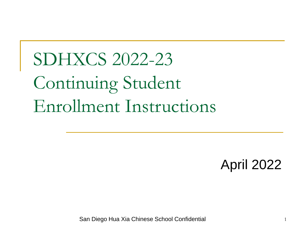# SDHXCS 2022-23 Continuing Student Enrollment Instructions

April 2022

San Diego Hua Xia Chinese School Confidential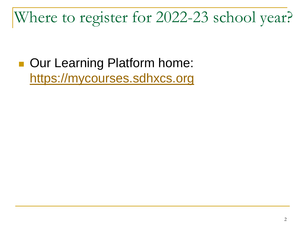### Where to register for 2022-23 school year?

■ Our Learning Platform home: [https://mycourses.sdhxcs.org](https://mycourses.sdhxcs.org/)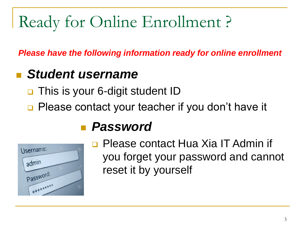## Ready for Online Enrollment ?

*Please have the following information ready for online enrollment*

#### **Student username**

- This is your 6-digit student ID
- ❑ Please contact your teacher if you don't have it



#### ■ *Password*

❑ Please contact Hua Xia IT Admin if you forget your password and cannot reset it by yourself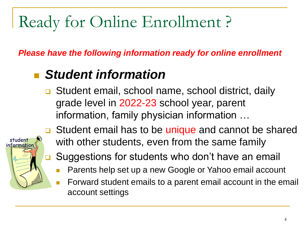## Ready for Online Enrollment ?

*Please have the following information ready for online enrollment*

#### **Student information**

❑ Student email, school name, school district, daily grade level in 2022-23 school year, parent information, family physician information …



- ❑ Student email has to be unique and cannot be shared with other students, even from the same family
- ❑ Suggestions for students who don't have an email
	- Parents help set up a new Google or Yahoo email account
	- <sup>◼</sup> Forward student emails to a parent email account in the email account settings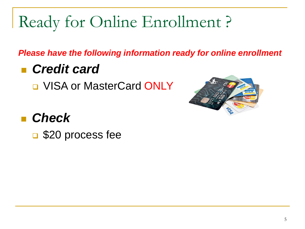## Ready for Online Enrollment ?

*Please have the following information ready for online enrollment*

#### ■ *Credit card*

❑ VISA or MasterCard ONLY



#### <sup>◼</sup> *Check*

❑ \$20 process fee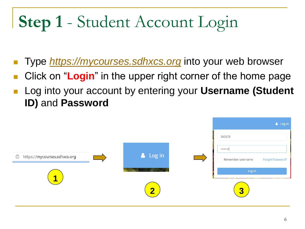# **Step 1** - Student Account Login

- <sup>◼</sup> Type *[https://mycourses.sdhxcs.org](https://mycourses.sdhxcs.org/)* into your web browser
- Click on "**Login**" in the upper right corner of the home page
- Log into your account by entering your **Username (Student ID)** and **Password**

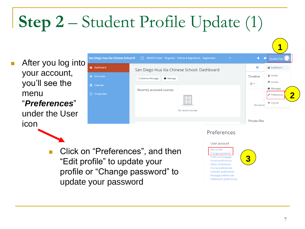# **Step 2** – Student Profile Update (1)

After you log into your account, you'll see the menu "*Preferences*" under the User icon



Click on "Preferences", and then "Edit profile" to update your profile or "Change password" to update your password

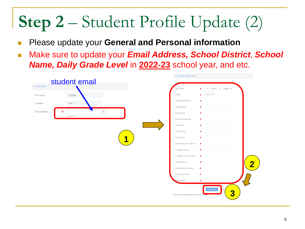# **Step 2** – Student Profile Update (2)

- **Please update your General and Personal information**
- Make sure to update your *Email Address, School District*, *School Name, Daily Grade Level* in **2022-23** school year, and etc.

|                                                    | Personal Information                                                                    |
|----------------------------------------------------|-----------------------------------------------------------------------------------------|
| student email<br>$\blacktriangleright$ General     | China                                                                                   |
|                                                    | $\bullet$ 1 $\bullet$ January $\bullet$ 2008 $\bullet$ $\bullet$<br>Date of Birth       |
| First name<br>Student                              | $\bullet$ Choose $\bullet$<br>Gender                                                    |
| Surname<br>Test                                    | Home Phone Number<br>$\bf{0}$                                                           |
|                                                    | <b>Home Address</b><br>$\bf{0}$                                                         |
| $\odot$<br>Email address<br>$\bf{0}$<br>- Required | Parent Name<br>$\bf{0}$                                                                 |
|                                                    | Parent Phone Number<br>$\bullet$                                                        |
|                                                    | Parent Email<br>$\bullet$                                                               |
|                                                    | <b>School District</b><br>$\bf{0}$                                                      |
| И                                                  | School Name<br>$\bullet$                                                                |
|                                                    | Daily Grade Level in 2021-22<br>$\bullet$                                               |
|                                                    | <b>Emergency Contact</b><br>$\bullet$                                                   |
|                                                    | <b>Emergency Contact Number</b><br>$\bullet$                                            |
|                                                    | Family Physician<br>$\bullet$                                                           |
|                                                    | Family Physician Number<br>$\bullet$                                                    |
|                                                    | Insurance Company<br>$\mathbf{o}$                                                       |
|                                                    | Policy Number<br>$\bf{0}$                                                               |
|                                                    | <b>Update profile</b><br>3<br>There are required fields in this form marked $\bullet$ . |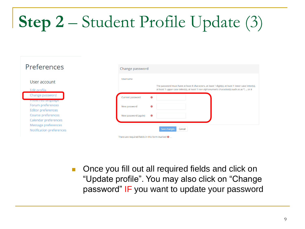# **Step 2** – Student Profile Update (3)

| Preferences                     | Change password                                                                                                                                                                                                         |
|---------------------------------|-------------------------------------------------------------------------------------------------------------------------------------------------------------------------------------------------------------------------|
| User account<br>Edit profile    | Username<br>The password must have at least 8 characters, at least 1 digit(s), at least 1 lower case letter(s),<br>at least 1 upper case letter(s), at least 1 non-alphanumeric character(s) such as as $*$ , -, or $#$ |
| Change password                 | Current password                                                                                                                                                                                                        |
| Treferred language              | $\bullet$                                                                                                                                                                                                               |
| Forum preferences               | $\bullet$                                                                                                                                                                                                               |
| <b>Editor preferences</b>       | New password                                                                                                                                                                                                            |
| Course preferences              | $\bullet$                                                                                                                                                                                                               |
| Calendar preferences            | New password (again)                                                                                                                                                                                                    |
| Message preferences             | Save changes                                                                                                                                                                                                            |
| <b>Notification preferences</b> | Cancel                                                                                                                                                                                                                  |
|                                 | There are required fields in this form marked $\mathbf 0$ .                                                                                                                                                             |

■ Once you fill out all required fields and click on "Update profile". You may also click on "Change password" IF you want to update your password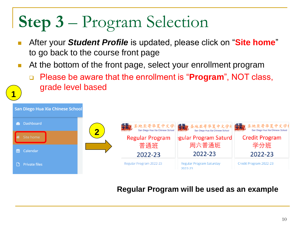## **Step 3** – Program Selection

**1**

- <sup>◼</sup> After your *Student Profile* is updated, please click on "**Site home**" to go back to the course front page
- At the bottom of the front page, select your enrollment program
	- ❑ Please be aware that the enrollment is "**Program**", NOT class, grade level based



#### **Regular Program will be used as an example**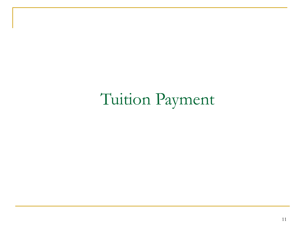Tuition Payment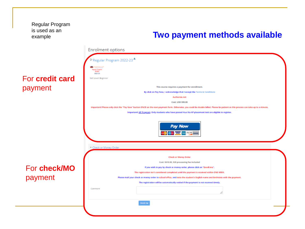Regular Program is used as an example

#### **Two payment methods available**

|                 | <b>Enrolment options</b>                                                                                                                                                           |
|-----------------|------------------------------------------------------------------------------------------------------------------------------------------------------------------------------------|
|                 | <sup>0</sup> Regular Program 2022-23                                                                                                                                               |
|                 | 10322211274<br><b>Ingular Program</b><br><b>BAS</b><br>2022-23                                                                                                                     |
| For credit card | Skill Level: Beginner                                                                                                                                                              |
| payment         | This course requires a payment for enrollment.                                                                                                                                     |
|                 | By click on Pay Now, I acknowledge that I accept the Terms & Conditions                                                                                                            |
|                 | Authorize.net                                                                                                                                                                      |
|                 | Cost: USD 590.00                                                                                                                                                                   |
|                 | Important! Please only click the "Pay Now" button ONCE on the next payment form. Otherwise, you could be double billed. Please be patient as this process can take up to a minute. |
|                 | Important! AP Program: Only students who have passed Hua Xia AP placement test are eligible to register.                                                                           |
|                 | <b>Pay Now</b><br><b>The State of WARD</b> and <sup>Decades</sup> BANK                                                                                                             |
|                 | Check or Money Order                                                                                                                                                               |
|                 | <b>Check or Money Order</b>                                                                                                                                                        |
|                 | Cost: \$610.00, \$20 processing fee included                                                                                                                                       |
| For check/MO    | If you wish to pay by check or money order, please click on "Enroll me".                                                                                                           |
|                 | The registration isn't considered completed until the payment is received within ONE WEEK.                                                                                         |
| payment         | Please mail your check or money order to school office, and note the student's English name and birthdate with the payment.                                                        |
|                 | The registration will be automatically voided if the payment is not received timely.                                                                                               |
|                 | Comment                                                                                                                                                                            |
|                 | Enrol me                                                                                                                                                                           |
|                 |                                                                                                                                                                                    |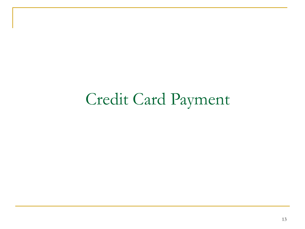### Credit Card Payment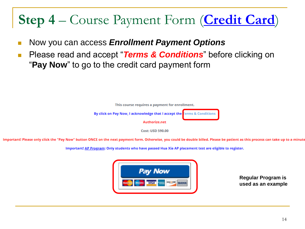### **Step 4** – Course Payment Form (**Credit Card**)

- <sup>◼</sup> Now you can access *Enrollment Payment Options*
- Please read and accept "**Terms & Conditions**" before clicking on "**Pay Now**" to go to the credit card payment form



**Cost: USD 590.00** 

Important! Please only click the "Pay Now" button ONCE on the next payment form. Otherwise, you could be double billed. Please be patient as this process can take up to a minute

Important! AP Program: Only students who have passed Hua Xia AP placement test are eligible to register.



**Regular Program is used as an example**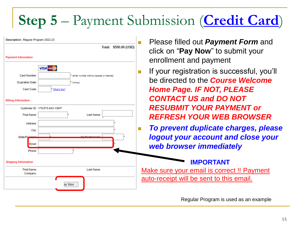### **Step 5** – Payment Submission (**Credit Card**)

|                             |                                                                  | Ple            |
|-----------------------------|------------------------------------------------------------------|----------------|
|                             | Total: \$590.00 (USD)                                            | clic           |
| <b>Payment Information</b>  |                                                                  | enr            |
| Card Number:                | <b>VISA MARKING</b><br>* (enter number without spaces or dashes) | If y<br>П      |
| <b>Expiration Date:</b>     | * (mmyy)                                                         | be             |
| Card Code:                  | * What's this?                                                   | Ho             |
|                             |                                                                  | <b>CC</b>      |
| <b>Billing Information</b>  |                                                                  |                |
|                             | Customer ID: 179-975-643-13947                                   | <b>RE</b>      |
| <b>First Name:</b>          | Last Name:<br>$\star$                                            | <b>RE</b>      |
| Address:                    |                                                                  |                |
| City:                       |                                                                  | To<br><b>T</b> |
| State/Pr/                   |                                                                  | log<br>we      |
| Email:                      |                                                                  |                |
| Phone:                      |                                                                  |                |
| <b>Shipping Information</b> |                                                                  |                |
| <b>First Name:</b>          | Last Name:                                                       | <b>Make</b>    |
| Company:                    |                                                                  | auto-r         |
|                             | ay Now                                                           |                |

- <sup>◼</sup> Please filled out *Payment Form* and k on "**Pay Now**" to submit your**ch** rollment and payment
- our registration is successful, you'll be directed to the *Course Welcome Home Page. IF NOT, PLEASE CONTACT US and DO NOT RESUBMIT YOUR PAYMENT or REFRESH YOUR WEB BROWSER*
	- <sup>◼</sup> *To prevent duplicate charges, please logout your account and close your web browser immediately*

#### **IMPORTANT**

sure your email is correct !! Payment eceipt will be sent to this email.

Regular Program is used as an example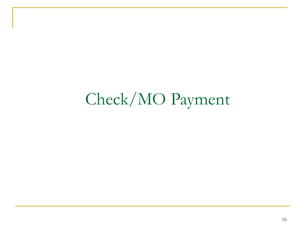### Check/MO Payment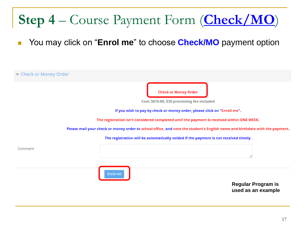### **Step 4** – Course Payment Form (**Check/MO**)

You may click on "**Enrol me**" to choose **Check/MO** payment option

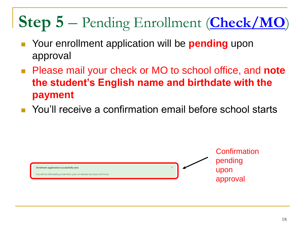### **Step 5** – Pending Enrollment (**Check/MO**)

- Your enrollment application will be **pending** upon approval
- Please mail your check or MO to school office, and **note the student's English name and birthdate with the payment**
- You'll receive a confirmation email before school starts

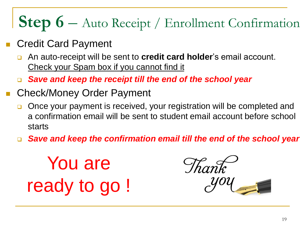### **Step 6** – Auto Receipt / Enrollment Confirmation

- **Credit Card Payment** 
	- ❑ An auto-receipt will be sent to **credit card holder**'s email account. Check your Spam box if you cannot find it
	- ❑ *Save and keep the receipt till the end of the school year*
- Check/Money Order Payment
	- ❑ Once your payment is received, your registration will be completed and a confirmation email will be sent to student email account before school starts
	- ❑ *Save and keep the confirmation email till the end of the school year*

You are ready to go !

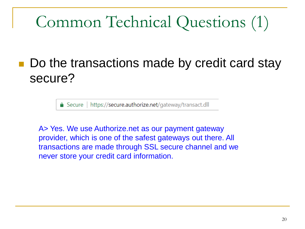### Common Technical Questions (1)

#### Do the transactions made by credit card stay secure?

△ Secure | https://secure.authorize.net/gateway/transact.dll

A> Yes. We use Authorize.net as our payment gateway provider, which is one of the safest gateways out there. All transactions are made through SSL secure channel and we never store your credit card information.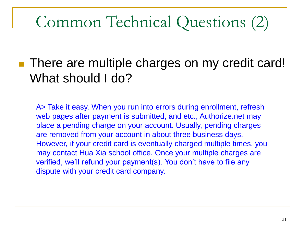### Common Technical Questions (2)

#### ■ There are multiple charges on my credit card! What should I do?

A> Take it easy. When you run into errors during enrollment, refresh web pages after payment is submitted, and etc., Authorize.net may place a pending charge on your account. Usually, pending charges are removed from your account in about three business days. However, if your credit card is eventually charged multiple times, you may contact Hua Xia school office. Once your multiple charges are verified, we'll refund your payment(s). You don't have to file any dispute with your credit card company.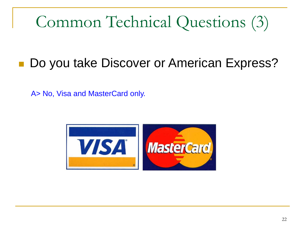### Common Technical Questions (3)

### ■ Do you take Discover or American Express?

A> No, Visa and MasterCard only.